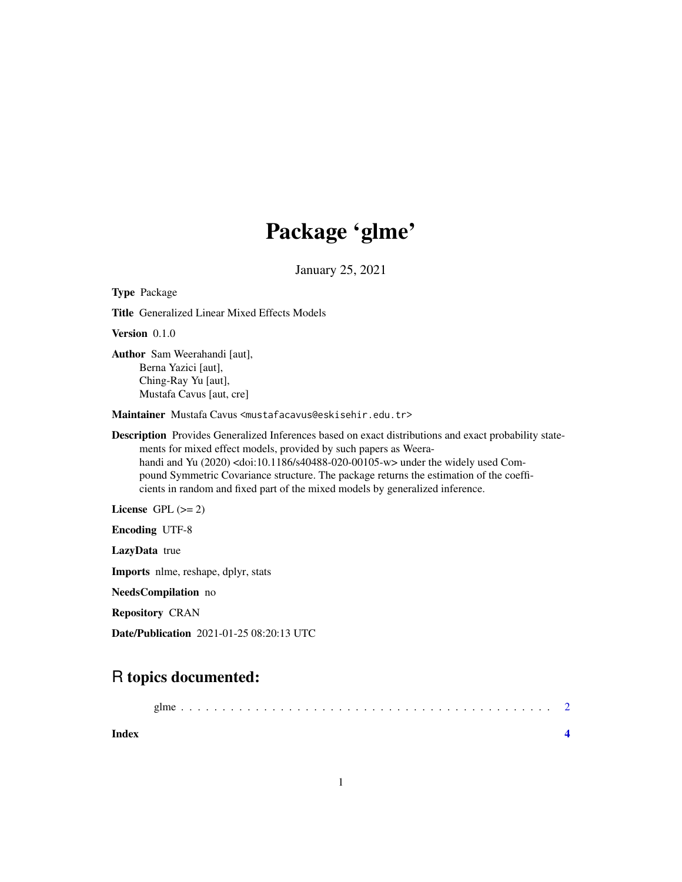## Package 'glme'

January 25, 2021

Type Package Title Generalized Linear Mixed Effects Models Version 0.1.0 Author Sam Weerahandi [aut], Berna Yazici [aut], Ching-Ray Yu [aut], Mustafa Cavus [aut, cre] Maintainer Mustafa Cavus <mustafacavus@eskisehir.edu.tr> Description Provides Generalized Inferences based on exact distributions and exact probability statements for mixed effect models, provided by such papers as Weerahandi and Yu (2020) <doi:10.1186/s40488-020-00105-w> under the widely used Compound Symmetric Covariance structure. The package returns the estimation of the coefficients in random and fixed part of the mixed models by generalized inference. License GPL  $(>= 2)$ Encoding UTF-8 LazyData true Imports nlme, reshape, dplyr, stats NeedsCompilation no Repository CRAN Date/Publication 2021-01-25 08:20:13 UTC

### R topics documented:

| Index |  |
|-------|--|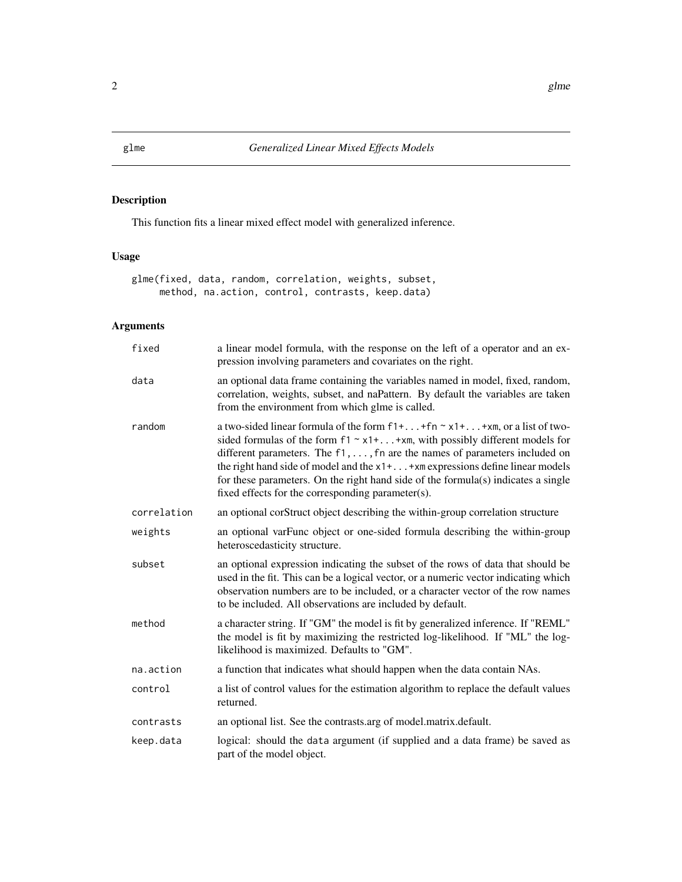#### Description

This function fits a linear mixed effect model with generalized inference.

#### Usage

glme(fixed, data, random, correlation, weights, subset, method, na.action, control, contrasts, keep.data)

#### Arguments

| fixed       | a linear model formula, with the response on the left of a operator and an ex-<br>pression involving parameters and covariates on the right.                                                                                                                                                                                                                                                                                                                                                |
|-------------|---------------------------------------------------------------------------------------------------------------------------------------------------------------------------------------------------------------------------------------------------------------------------------------------------------------------------------------------------------------------------------------------------------------------------------------------------------------------------------------------|
| data        | an optional data frame containing the variables named in model, fixed, random,<br>correlation, weights, subset, and naPattern. By default the variables are taken<br>from the environment from which glme is called.                                                                                                                                                                                                                                                                        |
| random      | a two-sided linear formula of the form $f1++f n \sim x1++x m$ , or a list of two-<br>sided formulas of the form $f1 \sim x1 +  + xm$ , with possibly different models for<br>different parameters. The $f_1, \ldots, f_n$ are the names of parameters included on<br>the right hand side of model and the x1++xm expressions define linear models<br>for these parameters. On the right hand side of the formula(s) indicates a single<br>fixed effects for the corresponding parameter(s). |
| correlation | an optional corStruct object describing the within-group correlation structure                                                                                                                                                                                                                                                                                                                                                                                                              |
| weights     | an optional varFunc object or one-sided formula describing the within-group<br>heteroscedasticity structure.                                                                                                                                                                                                                                                                                                                                                                                |
| subset      | an optional expression indicating the subset of the rows of data that should be<br>used in the fit. This can be a logical vector, or a numeric vector indicating which<br>observation numbers are to be included, or a character vector of the row names<br>to be included. All observations are included by default.                                                                                                                                                                       |
| method      | a character string. If "GM" the model is fit by generalized inference. If "REML"<br>the model is fit by maximizing the restricted log-likelihood. If "ML" the log-<br>likelihood is maximized. Defaults to "GM".                                                                                                                                                                                                                                                                            |
| na.action   | a function that indicates what should happen when the data contain NAs.                                                                                                                                                                                                                                                                                                                                                                                                                     |
| control     | a list of control values for the estimation algorithm to replace the default values<br>returned.                                                                                                                                                                                                                                                                                                                                                                                            |
| contrasts   | an optional list. See the contrasts arg of model matrix default.                                                                                                                                                                                                                                                                                                                                                                                                                            |
| keep.data   | logical: should the data argument (if supplied and a data frame) be saved as<br>part of the model object.                                                                                                                                                                                                                                                                                                                                                                                   |

<span id="page-1-0"></span>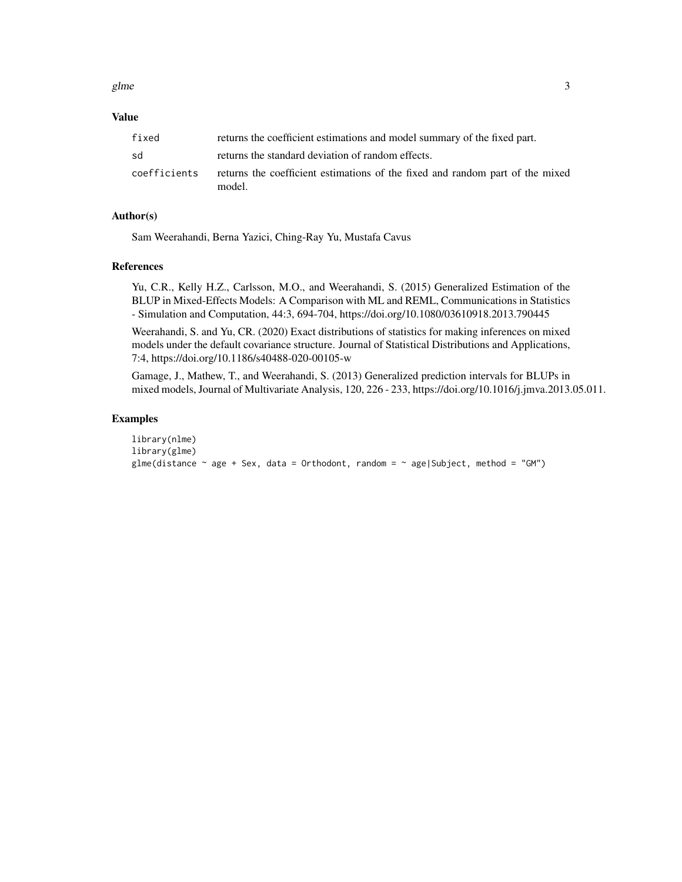glme  $\sim$  3

#### Value

| fixed        | returns the coefficient estimations and model summary of the fixed part.                |
|--------------|-----------------------------------------------------------------------------------------|
| sd           | returns the standard deviation of random effects.                                       |
| coefficients | returns the coefficient estimations of the fixed and random part of the mixed<br>model. |

#### Author(s)

Sam Weerahandi, Berna Yazici, Ching-Ray Yu, Mustafa Cavus

#### References

Yu, C.R., Kelly H.Z., Carlsson, M.O., and Weerahandi, S. (2015) Generalized Estimation of the BLUP in Mixed-Effects Models: A Comparison with ML and REML, Communications in Statistics - Simulation and Computation, 44:3, 694-704, https://doi.org/10.1080/03610918.2013.790445

Weerahandi, S. and Yu, CR. (2020) Exact distributions of statistics for making inferences on mixed models under the default covariance structure. Journal of Statistical Distributions and Applications, 7:4, https://doi.org/10.1186/s40488-020-00105-w

Gamage, J., Mathew, T., and Weerahandi, S. (2013) Generalized prediction intervals for BLUPs in mixed models, Journal of Multivariate Analysis, 120, 226 - 233, https://doi.org/10.1016/j.jmva.2013.05.011.

#### Examples

```
library(nlme)
library(glme)
glme(distance \sim age + Sex, data = Orthodont, random = \sim age|Subject, method = "GM")
```